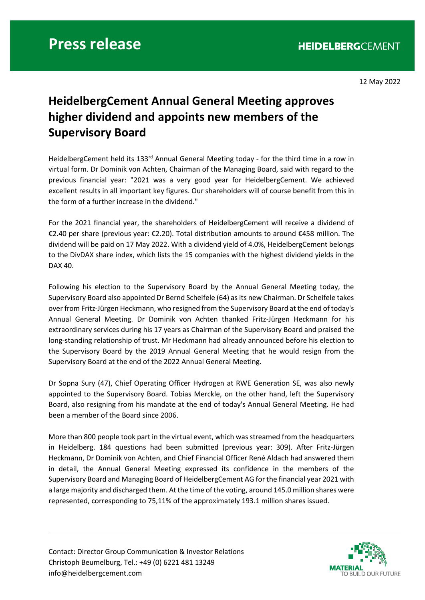12 May 2022

## **HeidelbergCement Annual General Meeting approves higher dividend and appoints new members of the Supervisory Board**

HeidelbergCement held its 133<sup>rd</sup> Annual General Meeting today - for the third time in a row in virtual form. Dr Dominik von Achten, Chairman of the Managing Board, said with regard to the previous financial year: "2021 was a very good year for HeidelbergCement. We achieved excellent results in all important key figures. Our shareholders will of course benefit from this in the form of a further increase in the dividend."

For the 2021 financial year, the shareholders of HeidelbergCement will receive a dividend of €2.40 per share (previous year: €2.20). Total distribution amounts to around €458 million. The dividend will be paid on 17 May 2022. With a dividend yield of 4.0%, HeidelbergCement belongs to the DivDAX share index, which lists the 15 companies with the highest dividend yields in the DAX 40.

Following his election to the Supervisory Board by the Annual General Meeting today, the Supervisory Board also appointed Dr Bernd Scheifele (64) as its new Chairman. Dr Scheifele takes over from Fritz-Jürgen Heckmann, who resigned from the Supervisory Board at the end of today's Annual General Meeting. Dr Dominik von Achten thanked Fritz-Jürgen Heckmann for his extraordinary services during his 17 years as Chairman of the Supervisory Board and praised the long-standing relationship of trust. Mr Heckmann had already announced before his election to the Supervisory Board by the 2019 Annual General Meeting that he would resign from the Supervisory Board at the end of the 2022 Annual General Meeting.

Dr Sopna Sury (47), Chief Operating Officer Hydrogen at RWE Generation SE, was also newly appointed to the Supervisory Board. Tobias Merckle, on the other hand, left the Supervisory Board, also resigning from his mandate at the end of today's Annual General Meeting. He had been a member of the Board since 2006.

More than 800 people took part in the virtual event, which was streamed from the headquarters in Heidelberg. 184 questions had been submitted (previous year: 309). After Fritz-Jürgen Heckmann, Dr Dominik von Achten, and Chief Financial Officer René Aldach had answered them in detail, the Annual General Meeting expressed its confidence in the members of the Supervisory Board and Managing Board of HeidelbergCement AG for the financial year 2021 with a large majority and discharged them. At the time of the voting, around 145.0 million shares were represented, corresponding to 75,11% of the approximately 193.1 million shares issued.

Contact: Director Group Communication & Investor Relations Christoph Beumelburg, Tel.: +49 (0) 6221 481 13249 info@heidelbergcement.com